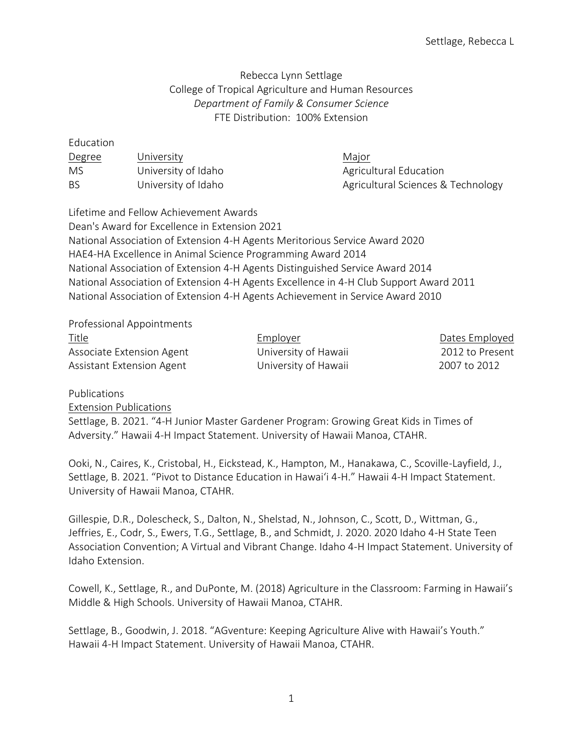## Rebecca Lynn Settlage College of Tropical Agriculture and Human Resources *Department of Family & Consumer Science*  FTE Distribution: 100% Extension

| Education |                     |                                    |
|-----------|---------------------|------------------------------------|
| Degree    | University          | Major                              |
| MS        | University of Idaho | Agricultural Education             |
| BS        | University of Idaho | Agricultural Sciences & Technology |

Lifetime and Fellow Achievement Awards Dean's Award for Excellence in Extension 2021 National Association of Extension 4-H Agents Meritorious Service Award 2020 HAE4-HA Excellence in Animal Science Programming Award 2014 National Association of Extension 4-H Agents Distinguished Service Award 2014 National Association of Extension 4-H Agents Excellence in 4-H Club Support Award 2011 National Association of Extension 4-H Agents Achievement in Service Award 2010

Professional Appointments

Title Employer Dates Employed Associate Extension Agent University of Hawaii 2012 to Present Assistant Extension Agent University of Hawaii 2007 to 2012

Publications Extension Publications Settlage, B. 2021. "4-H Junior Master Gardener Program: Growing Great Kids in Times of Adversity." Hawaii 4-H Impact Statement. University of Hawaii Manoa, CTAHR.

Ooki, N., Caires, K., Cristobal, H., Eickstead, K., Hampton, M., Hanakawa, C., Scoville-Layfield, J., Settlage, B. 2021. "Pivot to Distance Education in Hawai'i 4-H." Hawaii 4-H Impact Statement. University of Hawaii Manoa, CTAHR.

Gillespie, D.R., Dolescheck, S., Dalton, N., Shelstad, N., Johnson, C., Scott, D., Wittman, G., Jeffries, E., Codr, S., Ewers, T.G., Settlage, B., and Schmidt, J. 2020. 2020 Idaho 4-H State Teen Association Convention; A Virtual and Vibrant Change. Idaho 4-H Impact Statement. University of Idaho Extension.

Cowell, K., Settlage, R., and DuPonte, M. (2018) Agriculture in the Classroom: Farming in Hawaii's Middle & High Schools. University of Hawaii Manoa, CTAHR.

Settlage, B., Goodwin, J. 2018. "AGventure: Keeping Agriculture Alive with Hawaii's Youth." Hawaii 4-H Impact Statement. University of Hawaii Manoa, CTAHR.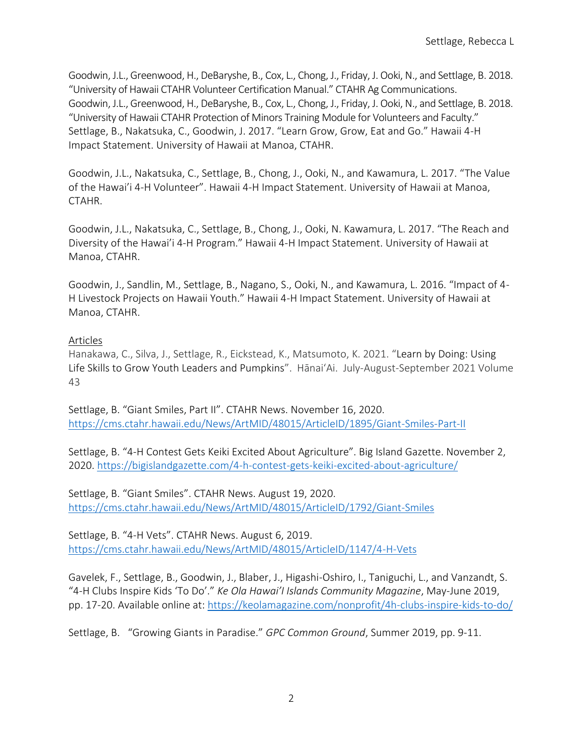Goodwin, J.L., Greenwood, H., DeBaryshe, B., Cox, L., Chong, J., Friday, J. Ooki, N., and Settlage, B. 2018. "University of Hawaii CTAHR Volunteer Certification Manual." CTAHR Ag Communications. Goodwin, J.L., Greenwood, H., DeBaryshe, B., Cox, L., Chong, J., Friday, J. Ooki, N., and Settlage, B. 2018. "University of Hawaii CTAHR Protection of Minors Training Module for Volunteers and Faculty." Settlage, B., Nakatsuka, C., Goodwin, J. 2017. "Learn Grow, Grow, Eat and Go." Hawaii 4-H Impact Statement. University of Hawaii at Manoa, CTAHR.

Goodwin, J.L., Nakatsuka, C., Settlage, B., Chong, J., Ooki, N., and Kawamura, L. 2017. "The Value of the Hawai'i 4-H Volunteer". Hawaii 4-H Impact Statement. University of Hawaii at Manoa, CTAHR.

Goodwin, J.L., Nakatsuka, C., Settlage, B., Chong, J., Ooki, N. Kawamura, L. 2017. "The Reach and Diversity of the Hawai'i 4-H Program." Hawaii 4-H Impact Statement. University of Hawaii at Manoa, CTAHR.

Goodwin, J., Sandlin, M., Settlage, B., Nagano, S., Ooki, N., and Kawamura, L. 2016. "Impact of 4- H Livestock Projects on Hawaii Youth." Hawaii 4-H Impact Statement. University of Hawaii at Manoa, CTAHR.

## Articles

Hanakawa, C., Silva, J., Settlage, R., Eickstead, K., Matsumoto, K. 2021. "Learn by Doing: Using Life Skills to Grow Youth Leaders and Pumpkins". HānaiʻAi. July-August-September 2021 Volume 43

Settlage, B. "Giant Smiles, Part II". CTAHR News. November 16, 2020. <https://cms.ctahr.hawaii.edu/News/ArtMID/48015/ArticleID/1895/Giant-Smiles-Part-II>

Settlage, B. "4-H Contest Gets Keiki Excited About Agriculture". Big Island Gazette. November 2, 2020.<https://bigislandgazette.com/4-h-contest-gets-keiki-excited-about-agriculture/>

Settlage, B. "Giant Smiles". CTAHR News. August 19, 2020. <https://cms.ctahr.hawaii.edu/News/ArtMID/48015/ArticleID/1792/Giant-Smiles>

Settlage, B. "4-H Vets". CTAHR News. August 6, 2019. <https://cms.ctahr.hawaii.edu/News/ArtMID/48015/ArticleID/1147/4-H-Vets>

Gavelek, F., Settlage, B., Goodwin, J., Blaber, J., Higashi-Oshiro, I., Taniguchi, L., and Vanzandt, S. "4-H Clubs Inspire Kids 'To Do'." *Ke Ola Hawai'I Islands Community Magazine*, May-June 2019, pp. 17-20. Available online at:<https://keolamagazine.com/nonprofit/4h-clubs-inspire-kids-to-do/>

Settlage, B. "Growing Giants in Paradise." *GPC Common Ground*, Summer 2019, pp. 9-11.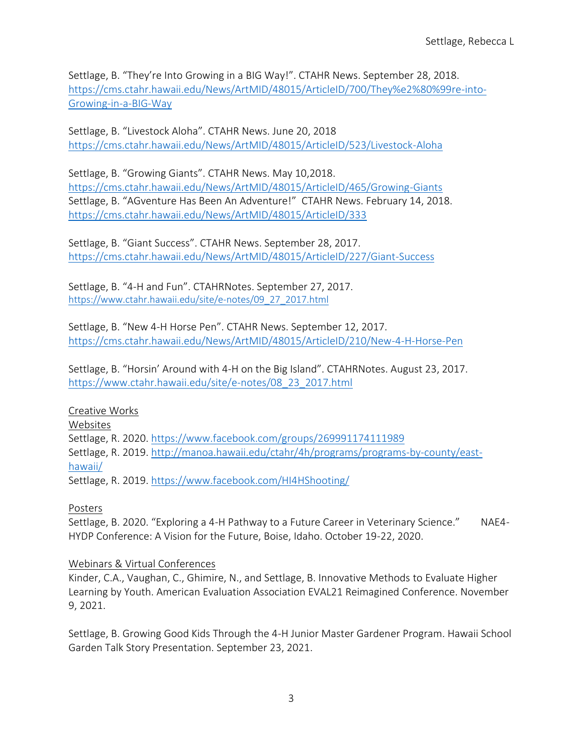Settlage, B. "They're Into Growing in a BIG Way!". CTAHR News. September 28, 2018. [https://cms.ctahr.hawaii.edu/News/ArtMID/48015/ArticleID/700/They%e2%80%99re-into-](https://cms.ctahr.hawaii.edu/News/ArtMID/48015/ArticleID/700/They%e2%80%99re-into-Growing-in-a-BIG-Way)[Growing-in-a-BIG-Way](https://cms.ctahr.hawaii.edu/News/ArtMID/48015/ArticleID/700/They%e2%80%99re-into-Growing-in-a-BIG-Way)

Settlage, B. "Livestock Aloha". CTAHR News. June 20, 2018 <https://cms.ctahr.hawaii.edu/News/ArtMID/48015/ArticleID/523/Livestock-Aloha>

Settlage, B. "Growing Giants". CTAHR News. May 10,2018. <https://cms.ctahr.hawaii.edu/News/ArtMID/48015/ArticleID/465/Growing-Giants> Settlage, B. "[AGventure Has Been An Adventure!](https://cms.ctahr.hawaii.edu/News/ArtMID/48015/ArticleID/333)" CTAHR News. February 14, 2018. <https://cms.ctahr.hawaii.edu/News/ArtMID/48015/ArticleID/333>

Settlage, B. "Giant Success". CTAHR News. September 28, 2017. <https://cms.ctahr.hawaii.edu/News/ArtMID/48015/ArticleID/227/Giant-Success>

Settlage, B. "4-H and Fun". CTAHRNotes. September 27, 2017. [https://www.ctahr.hawaii.edu/site/e-notes/09\\_27\\_2017.html](https://www.ctahr.hawaii.edu/site/e-notes/09_27_2017.html)

Settlage, B. "New 4-H Horse Pen". CTAHR News. September 12, 2017. <https://cms.ctahr.hawaii.edu/News/ArtMID/48015/ArticleID/210/New-4-H-Horse-Pen>

Settlage, B. "Horsin' Around with 4-H on the Big Island". CTAHRNotes. August 23, 2017. [https://www.ctahr.hawaii.edu/site/e-notes/08\\_23\\_2017.html](https://www.ctahr.hawaii.edu/site/e-notes/08_23_2017.html)

Creative Works Websites Settlage, R. 2020.<https://www.facebook.com/groups/269991174111989> Settlage, R. 2019. [http://manoa.hawaii.edu/ctahr/4h/programs/programs-by-county/east](http://manoa.hawaii.edu/ctahr/4h/programs/programs-by-county/east-hawaii/)[hawaii/](http://manoa.hawaii.edu/ctahr/4h/programs/programs-by-county/east-hawaii/) Settlage, R. 2019.<https://www.facebook.com/HI4HShooting/>

Posters

Settlage, B. 2020. "Exploring a 4-H Pathway to a Future Career in Veterinary Science." NAE4- HYDP Conference: A Vision for the Future, Boise, Idaho. October 19-22, 2020.

## Webinars & Virtual Conferences

Kinder, C.A., Vaughan, C., Ghimire, N., and Settlage, B. Innovative Methods to Evaluate Higher Learning by Youth. American Evaluation Association EVAL21 Reimagined Conference. November 9, 2021.

Settlage, B. Growing Good Kids Through the 4-H Junior Master Gardener Program. Hawaii School Garden Talk Story Presentation. September 23, 2021.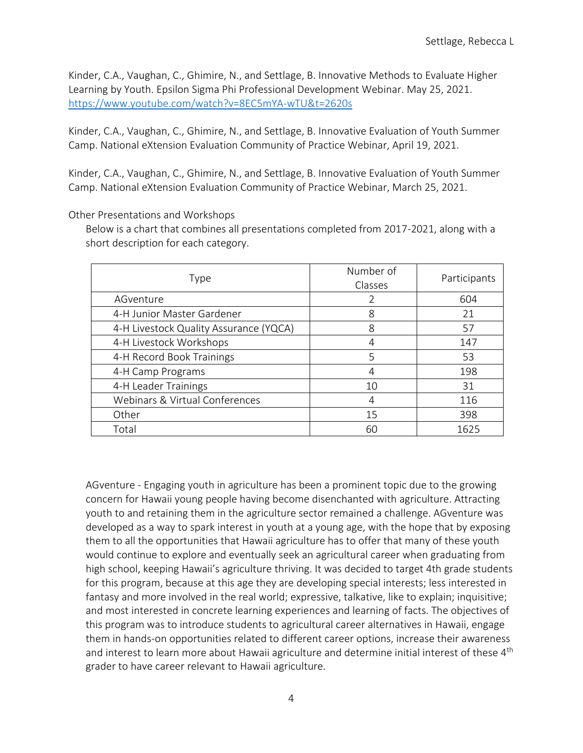Kinder, C.A., Vaughan, C., Ghimire, N., and Settlage, B. Innovative Methods to Evaluate Higher Learning by Youth. Epsilon Sigma Phi Professional Development Webinar. May 25, 2021. <https://www.youtube.com/watch?v=8EC5mYA-wTU&t=2620s>

Kinder, C.A., Vaughan, C., Ghimire, N., and Settlage, B. Innovative Evaluation of Youth Summer Camp. National eXtension Evaluation Community of Practice Webinar, April 19, 2021.

Kinder, C.A., Vaughan, C., Ghimire, N., and Settlage, B. Innovative Evaluation of Youth Summer Camp. National eXtension Evaluation Community of Practice Webinar, March 25, 2021.

Other Presentations and Workshops

Below is a chart that combines all presentations completed from 2017-2021, along with a short description for each category.

| Type                                   | Number of<br>Classes | Participants |
|----------------------------------------|----------------------|--------------|
| AGventure                              |                      | 604          |
| 4-H Junior Master Gardener             | 8                    | 21           |
| 4-H Livestock Quality Assurance (YQCA) | 8                    | 57           |
| 4-H Livestock Workshops                | 4                    | 147          |
| 4-H Record Book Trainings              | 5                    | 53           |
| 4-H Camp Programs                      | 4                    | 198          |
| 4-H Leader Trainings                   | 10                   | 31           |
| Webinars & Virtual Conferences         | 4                    | 116          |
| Other                                  | 15                   | 398          |
| Total                                  | 60                   | 1625         |

AGventure - Engaging youth in agriculture has been a prominent topic due to the growing concern for Hawaii young people having become disenchanted with agriculture. Attracting youth to and retaining them in the agriculture sector remained a challenge. AGventure was developed as a way to spark interest in youth at a young age, with the hope that by exposing them to all the opportunities that Hawaii agriculture has to offer that many of these youth would continue to explore and eventually seek an agricultural career when graduating from high school, keeping Hawaii's agriculture thriving. It was decided to target 4th grade students for this program, because at this age they are developing special interests; less interested in fantasy and more involved in the real world; expressive, talkative, like to explain; inquisitive; and most interested in concrete learning experiences and learning of facts. The objectives of this program was to introduce students to agricultural career alternatives in Hawaii, engage them in hands-on opportunities related to different career options, increase their awareness and interest to learn more about Hawaii agriculture and determine initial interest of these 4<sup>th</sup> grader to have career relevant to Hawaii agriculture.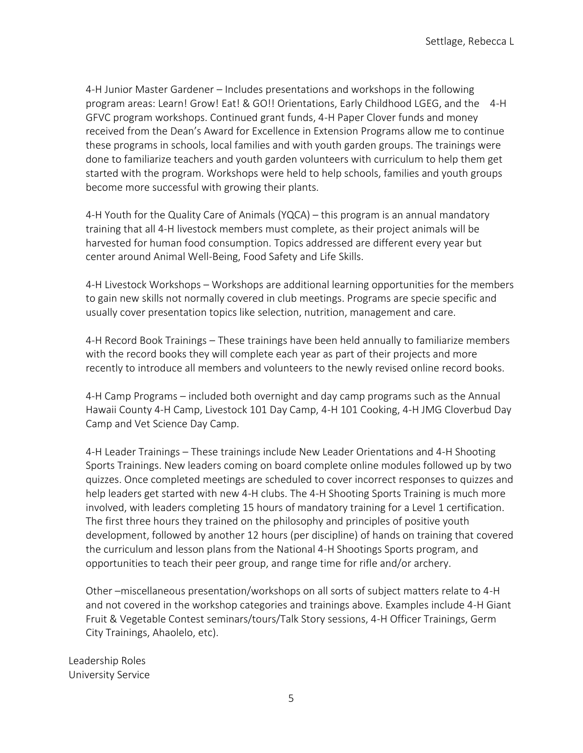4-H Junior Master Gardener – Includes presentations and workshops in the following program areas: Learn! Grow! Eat! & GO!! Orientations, Early Childhood LGEG, and the 4-H GFVC program workshops. Continued grant funds, 4-H Paper Clover funds and money received from the Dean's Award for Excellence in Extension Programs allow me to continue these programs in schools, local families and with youth garden groups. The trainings were done to familiarize teachers and youth garden volunteers with curriculum to help them get started with the program. Workshops were held to help schools, families and youth groups become more successful with growing their plants.

4-H Youth for the Quality Care of Animals (YQCA) – this program is an annual mandatory training that all 4-H livestock members must complete, as their project animals will be harvested for human food consumption. Topics addressed are different every year but center around Animal Well-Being, Food Safety and Life Skills.

4-H Livestock Workshops – Workshops are additional learning opportunities for the members to gain new skills not normally covered in club meetings. Programs are specie specific and usually cover presentation topics like selection, nutrition, management and care.

4-H Record Book Trainings – These trainings have been held annually to familiarize members with the record books they will complete each year as part of their projects and more recently to introduce all members and volunteers to the newly revised online record books.

4-H Camp Programs – included both overnight and day camp programs such as the Annual Hawaii County 4-H Camp, Livestock 101 Day Camp, 4-H 101 Cooking, 4-H JMG Cloverbud Day Camp and Vet Science Day Camp.

4-H Leader Trainings – These trainings include New Leader Orientations and 4-H Shooting Sports Trainings. New leaders coming on board complete online modules followed up by two quizzes. Once completed meetings are scheduled to cover incorrect responses to quizzes and help leaders get started with new 4-H clubs. The 4-H Shooting Sports Training is much more involved, with leaders completing 15 hours of mandatory training for a Level 1 certification. The first three hours they trained on the philosophy and principles of positive youth development, followed by another 12 hours (per discipline) of hands on training that covered the curriculum and lesson plans from the National 4-H Shootings Sports program, and opportunities to teach their peer group, and range time for rifle and/or archery.

Other –miscellaneous presentation/workshops on all sorts of subject matters relate to 4-H and not covered in the workshop categories and trainings above. Examples include 4-H Giant Fruit & Vegetable Contest seminars/tours/Talk Story sessions, 4-H Officer Trainings, Germ City Trainings, Ahaolelo, etc).

Leadership Roles University Service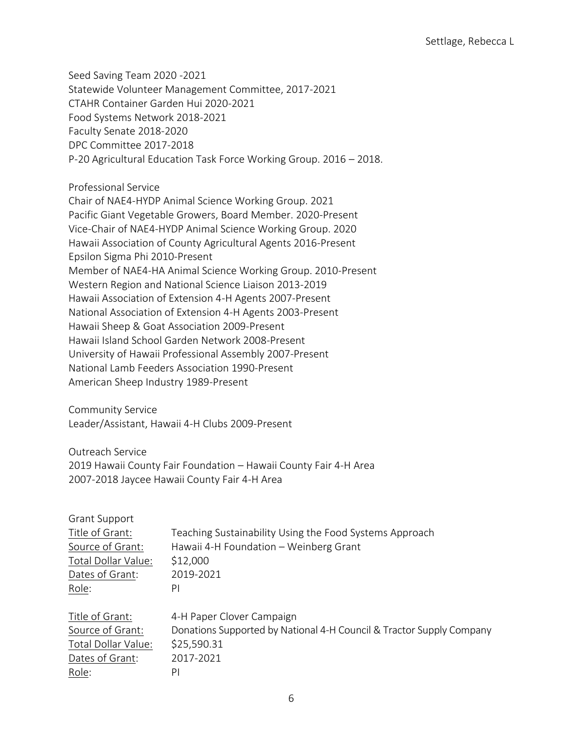Seed Saving Team 2020 -2021 Statewide Volunteer Management Committee, 2017-2021 CTAHR Container Garden Hui 2020-2021 Food Systems Network 2018-2021 Faculty Senate 2018-2020 DPC Committee 2017-2018 P-20 Agricultural Education Task Force Working Group. 2016 – 2018.

Professional Service

Chair of NAE4-HYDP Animal Science Working Group. 2021 Pacific Giant Vegetable Growers, Board Member. 2020-Present Vice-Chair of NAE4-HYDP Animal Science Working Group. 2020 Hawaii Association of County Agricultural Agents 2016-Present Epsilon Sigma Phi 2010-Present Member of NAE4-HA Animal Science Working Group. 2010-Present Western Region and National Science Liaison 2013-2019 Hawaii Association of Extension 4-H Agents 2007-Present National Association of Extension 4-H Agents 2003-Present Hawaii Sheep & Goat Association 2009-Present Hawaii Island School Garden Network 2008-Present University of Hawaii Professional Assembly 2007-Present National Lamb Feeders Association 1990-Present American Sheep Industry 1989-Present

Community Service Leader/Assistant, Hawaii 4-H Clubs 2009-Present

Outreach Service 2019 Hawaii County Fair Foundation – Hawaii County Fair 4-H Area 2007-2018 Jaycee Hawaii County Fair 4-H Area

| <b>Grant Support</b> |                                                                      |
|----------------------|----------------------------------------------------------------------|
| Title of Grant:      | Teaching Sustainability Using the Food Systems Approach              |
| Source of Grant:     | Hawaii 4-H Foundation - Weinberg Grant                               |
| Total Dollar Value:  | \$12,000                                                             |
| Dates of Grant:      | 2019-2021                                                            |
| Role:                | PI                                                                   |
| Title of Grant:      | 4-H Paper Clover Campaign                                            |
| Source of Grant:     | Donations Supported by National 4-H Council & Tractor Supply Company |
| Total Dollar Value:  | \$25,590.31                                                          |
| Dates of Grant:      | 2017-2021                                                            |
| Role:                | PI                                                                   |
|                      |                                                                      |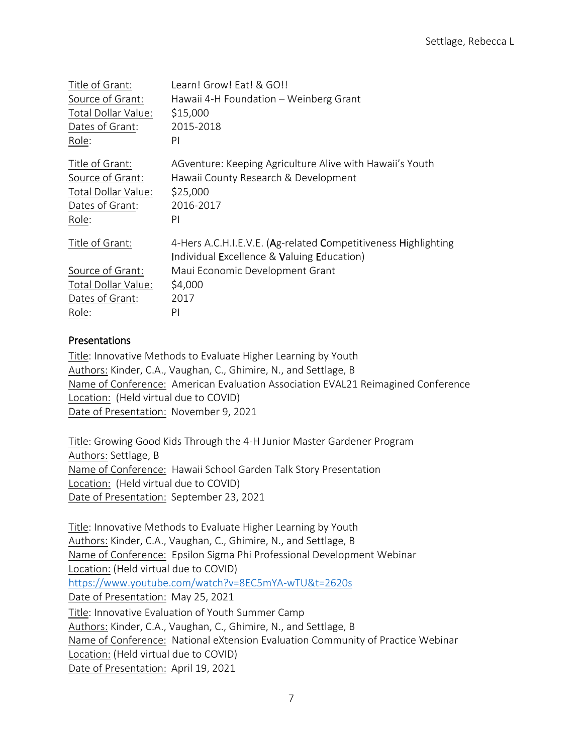| Title of Grant:     | Learn! Grow! Eat! & GO!!                                       |
|---------------------|----------------------------------------------------------------|
| Source of Grant:    | Hawaii 4-H Foundation - Weinberg Grant                         |
| Total Dollar Value: | \$15,000                                                       |
| Dates of Grant:     | 2015-2018                                                      |
| Role:               | PI                                                             |
| Title of Grant:     | AGventure: Keeping Agriculture Alive with Hawaii's Youth       |
| Source of Grant:    | Hawaii County Research & Development                           |
| Total Dollar Value: | \$25,000                                                       |
| Dates of Grant:     | 2016-2017                                                      |
| Role:               | PI                                                             |
| Title of Grant:     | 4-Hers A.C.H.I.E.V.E. (Ag-related Competitiveness Highlighting |
|                     | Individual Excellence & Valuing Education)                     |
| Source of Grant:    | Maui Economic Development Grant                                |
| Total Dollar Value: | \$4,000                                                        |
| Dates of Grant:     | 2017                                                           |
| Role:               | PI                                                             |

## Presentations

Title: Innovative Methods to Evaluate Higher Learning by Youth Authors: Kinder, C.A., Vaughan, C., Ghimire, N., and Settlage, B Name of Conference: American Evaluation Association EVAL21 Reimagined Conference Location: (Held virtual due to COVID) Date of Presentation: November 9, 2021

Title: Growing Good Kids Through the 4-H Junior Master Gardener Program Authors: Settlage, B Name of Conference: Hawaii School Garden Talk Story Presentation Location: (Held virtual due to COVID) Date of Presentation: September 23, 2021

Title: Innovative Methods to Evaluate Higher Learning by Youth Authors: Kinder, C.A., Vaughan, C., Ghimire, N., and Settlage, B Name of Conference: Epsilon Sigma Phi Professional Development Webinar Location: (Held virtual due to COVID) <https://www.youtube.com/watch?v=8EC5mYA-wTU&t=2620s> Date of Presentation: May 25, 2021 Title: Innovative Evaluation of Youth Summer Camp Authors: Kinder, C.A., Vaughan, C., Ghimire, N., and Settlage, B Name of Conference: National eXtension Evaluation Community of Practice Webinar Location: (Held virtual due to COVID) Date of Presentation: April 19, 2021